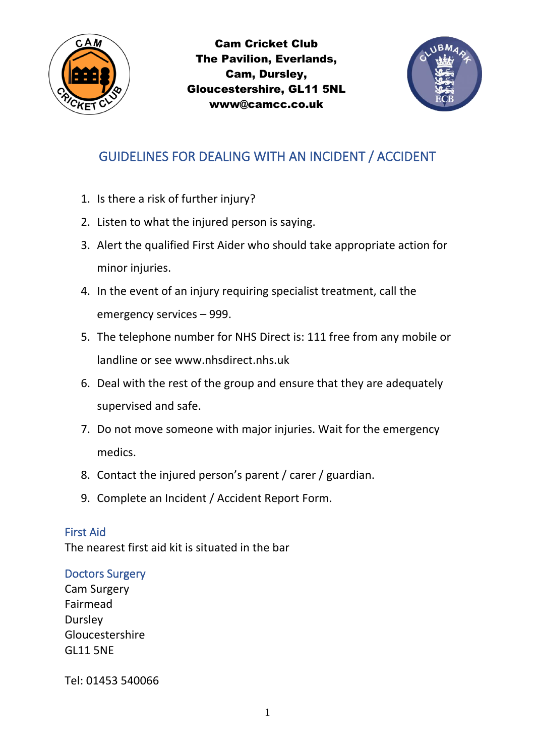



# GUIDELINES FOR DEALING WITH AN INCIDENT / ACCIDENT

- 1. Is there a risk of further injury?
- 2. Listen to what the injured person is saying.
- 3. Alert the qualified First Aider who should take appropriate action for minor injuries.
- 4. In the event of an injury requiring specialist treatment, call the emergency services – 999.
- 5. The telephone number for NHS Direct is: 111 free from any mobile or landline or see www.nhsdirect.nhs.uk
- 6. Deal with the rest of the group and ensure that they are adequately supervised and safe.
- 7. Do not move someone with major injuries. Wait for the emergency medics.
- 8. Contact the injured person's parent / carer / guardian.
- 9. Complete an Incident / Accident Report Form.

## First Aid

The nearest first aid kit is situated in the bar

## Doctors Surgery

Cam Surgery Fairmead **Dursley** Gloucestershire GL11 5NE

Tel: 01453 540066